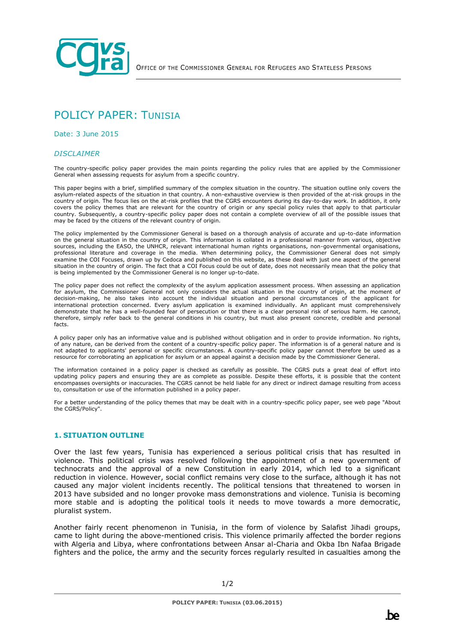

# POLICY PAPER: TUNISIA

Date: 3 June 2015

#### *DISCLAIMER*

The country-specific policy paper provides the main points regarding the policy rules that are applied by the Commissioner General when assessing requests for asylum from a specific country.

This paper begins with a brief, simplified summary of the complex situation in the country. The situation outline only covers the asylum-related aspects of the situation in that country. A non-exhaustive overview is then provided of the at-risk groups in the country of origin. The focus lies on the at-risk profiles that the CGRS encounters during its day-to-day work. In addition, it only covers the policy themes that are relevant for the country of origin or any special policy rules that apply to that particular country. Subsequently, a country-specific policy paper does not contain a complete overview of all of the possible issues that may be faced by the citizens of the relevant country of origin.

The policy implemented by the Commissioner General is based on a thorough analysis of accurate and up-to-date information on the general situation in the country of origin. This information is collated in a professional manner from various, objective sources, including the EASO, the UNHCR, relevant international human rights organisations, non-governmental organisations, professional literature and coverage in the media. When determining policy, the Commissioner General does not simply examine the COI Focuses, drawn up by Cedoca and published on this website, as these deal with just one aspect of the general situation in the country of origin. The fact that a COI Focus could be out of date, does not necessarily mean that the policy that is being implemented by the Commissioner General is no longer up-to-date.

The policy paper does not reflect the complexity of the asylum application assessment process. When assessing an application for asylum, the Commissioner General not only considers the actual situation in the country of origin, at the moment of decision-making, he also takes into account the individual situation and personal circumstances of the applicant for international protection concerned. Every asylum application is examined individually. An applicant must comprehensively demonstrate that he has a well-founded fear of persecution or that there is a clear personal risk of serious harm. He cannot, therefore, simply refer back to the general conditions in his country, but must also present concrete, credible and personal facts.

A policy paper only has an informative value and is published without obligation and in order to provide information. No rights, of any nature, can be derived from the content of a country-specific policy paper. The information is of a general nature and is not adapted to applicants' personal or specific circumstances. A country-specific policy paper cannot therefore be used as a resource for corroborating an application for asylum or an appeal against a decision made by the Commissioner General.

The information contained in a policy paper is checked as carefully as possible. The CGRS puts a great deal of effort into updating policy papers and ensuring they are as complete as possible. Despite these efforts, it is possible that the content encompasses oversights or inaccuracies. The CGRS cannot be held liable for any direct or indirect damage resulting from access to, consultation or use of the information published in a policy paper.

For a better understanding of the policy themes that may be dealt with in a country-specific policy paper, see web page "About the CGRS/Policy".

#### **1. SITUATION OUTLINE**

Over the last few years, Tunisia has experienced a serious political crisis that has resulted in violence. This political crisis was resolved following the appointment of a new government of technocrats and the approval of a new Constitution in early 2014, which led to a significant reduction in violence. However, social conflict remains very close to the surface, although it has not caused any major violent incidents recently. The political tensions that threatened to worsen in 2013 have subsided and no longer provoke mass demonstrations and violence. Tunisia is becoming more stable and is adopting the political tools it needs to move towards a more democratic, pluralist system.

Another fairly recent phenomenon in Tunisia, in the form of violence by Salafist Jihadi groups, came to light during the above-mentioned crisis. This violence primarily affected the border regions with Algeria and Libya, where confrontations between Ansar al-Charia and Okba Ibn Nafaa Brigade fighters and the police, the army and the security forces regularly resulted in casualties among the